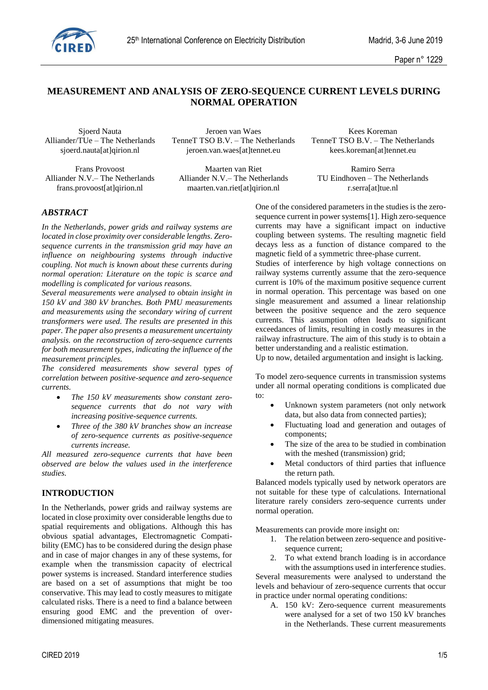

## **MEASUREMENT AND ANALYSIS OF ZERO-SEQUENCE CURRENT LEVELS DURING NORMAL OPERATION**

Frans Provoost Maarten van Riet Ramiro Serra<br>Alliander N.V. – The Netherlands Alliander N.V. – The Netherlands Business Ramiro Serra

Sjoerd Nauta Jeroen van Waes Kees Koreman sjoerd.nauta[at]qirion.nl jeroen.van.waes[at]tennet.eu kees.koreman[at]tennet.eu

Alliander N.V.– The Netherlands frans.provoost[at]qirion.nl maarten.van.riet[at]qirion.nl r.serra[at]tue.nl

Alliander/TUe – The Netherlands TenneT TSO B.V. – The Netherlands TenneT TSO B.V. – The Netherlands

## *ABSTRACT*

*In the Netherlands, power grids and railway systems are located in close proximity over considerable lengths. Zerosequence currents in the transmission grid may have an influence on neighbouring systems through inductive coupling. Not much is known about these currents during normal operation: Literature on the topic is scarce and modelling is complicated for various reasons.*

*Several measurements were analysed to obtain insight in 150 kV and 380 kV branches. Both PMU measurements and measurements using the secondary wiring of current transformers were used. The results are presented in this paper. The paper also presents a measurement uncertainty analysis. on the reconstruction of zero-sequence currents for both measurement types, indicating the influence of the measurement principles.* 

*The considered measurements show several types of correlation between positive-sequence and zero-sequence currents.* 

- *The 150 kV measurements show constant zerosequence currents that do not vary with increasing positive-sequence currents.*
- *Three of the 380 kV branches show an increase of zero-sequence currents as positive-sequence currents increase.*

*All measured zero-sequence currents that have been observed are below the values used in the interference studies.*

### **INTRODUCTION**

In the Netherlands, power grids and railway systems are located in close proximity over considerable lengths due to spatial requirements and obligations. Although this has obvious spatial advantages, Electromagnetic Compatibility (EMC) has to be considered during the design phase and in case of major changes in any of these systems, for example when the transmission capacity of electrical power systems is increased. Standard interference studies are based on a set of assumptions that might be too conservative. This may lead to costly measures to mitigate calculated risks. There is a need to find a balance between ensuring good EMC and the prevention of overdimensioned mitigating measures.

One of the considered parameters in the studies is the zerosequence current in power systems[1]. High zero-sequence currents may have a significant impact on inductive coupling between systems. The resulting magnetic field decays less as a function of distance compared to the magnetic field of a symmetric three-phase current.

Studies of interference by high voltage connections on railway systems currently assume that the zero-sequence current is 10% of the maximum positive sequence current in normal operation. This percentage was based on one single measurement and assumed a linear relationship between the positive sequence and the zero sequence currents. This assumption often leads to significant exceedances of limits, resulting in costly measures in the railway infrastructure. The aim of this study is to obtain a better understanding and a realistic estimation.

Up to now, detailed argumentation and insight is lacking.

To model zero-sequence currents in transmission systems under all normal operating conditions is complicated due to:

- Unknown system parameters (not only network data, but also data from connected parties);
- Fluctuating load and generation and outages of components;
- The size of the area to be studied in combination with the meshed (transmission) grid;
- Metal conductors of third parties that influence the return path.

Balanced models typically used by network operators are not suitable for these type of calculations. International literature rarely considers zero-sequence currents under normal operation.

Measurements can provide more insight on:

- 1. The relation between zero-sequence and positivesequence current;
- 2. To what extend branch loading is in accordance with the assumptions used in interference studies.

Several measurements were analysed to understand the levels and behaviour of zero-sequence currents that occur in practice under normal operating conditions:

A. 150 kV: Zero-sequence current measurements were analysed for a set of two 150 kV branches in the Netherlands. These current measurements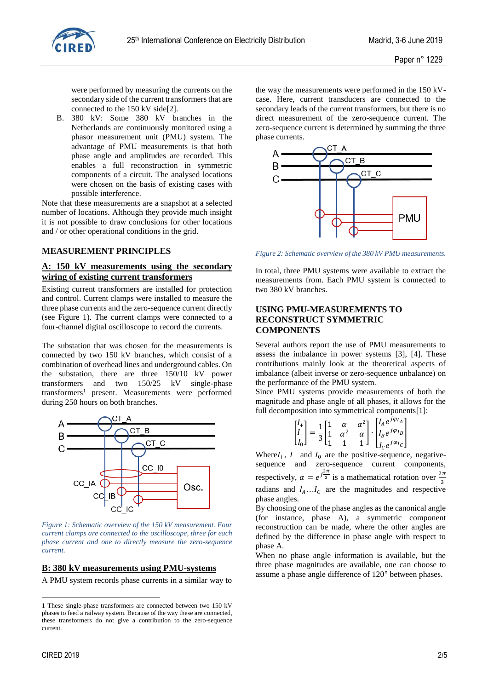

were performed by measuring the currents on the secondary side of the current transformers that are connected to the 150 kV side[2].

B. 380 kV: Some 380 kV branches in the Netherlands are continuously monitored using a phasor measurement unit (PMU) system. The advantage of PMU measurements is that both phase angle and amplitudes are recorded. This enables a full reconstruction in symmetric components of a circuit. The analysed locations were chosen on the basis of existing cases with possible interference.

Note that these measurements are a snapshot at a selected number of locations. Although they provide much insight it is not possible to draw conclusions for other locations and / or other operational conditions in the grid.

#### **MEASUREMENT PRINCIPLES**

## **A: 150 kV measurements using the secondary wiring of existing current transformers**

Existing current transformers are installed for protection and control. Current clamps were installed to measure the three phase currents and the zero-sequence current directly (see [Figure 1\)](#page-1-0). The current clamps were connected to a four-channel digital oscilloscope to record the currents.

The substation that was chosen for the measurements is connected by two 150 kV branches, which consist of a combination of overhead lines and underground cables. On the substation, there are three 150/10 kV power transformers and two 150/25 kV single-phase transformers<sup>1</sup> present. Measurements were performed during 250 hours on both branches.



<span id="page-1-0"></span>*Figure 1: Schematic overview of the 150 kV measurement. Four current clamps are connected to the oscilloscope, three for each phase current and one to directly measure the zero-sequence current.*

#### **B: 380 kV measurements using PMU-systems**

A PMU system records phase currents in a similar way to

CIRED 2019 2/5

1

the way the measurements were performed in the 150 kVcase. Here, current transducers are connected to the secondary leads of the current transformers, but there is no direct measurement of the zero-sequence current. The zero-sequence current is determined by summing the three phase currents.



*Figure 2: Schematic overview of the 380 kV PMU measurements.*

In total, three PMU systems were available to extract the measurements from. Each PMU system is connected to two 380 kV branches.

## **USING PMU-MEASUREMENTS TO RECONSTRUCT SYMMETRIC COMPONENTS**

Several authors report the use of PMU measurements to assess the imbalance in power systems [3], [4]. These contributions mainly look at the theoretical aspects of imbalance (albeit inverse or zero-sequence unbalance) on the performance of the PMU system.

Since PMU systems provide measurements of both the magnitude and phase angle of all phases, it allows for the full decomposition into symmetrical components[1]:

|  | $\begin{bmatrix} I_+ \\ I_- \\ I_0 \end{bmatrix} = \frac{1}{3} \begin{bmatrix} 1 & \alpha & \alpha^2 \\ 1 & \alpha^2 & \alpha \\ 1 & 1 & 1 \end{bmatrix} \cdot \begin{bmatrix} I_A e^{j\varphi_{I_A}} \\ I_B e^{j\varphi_{I_B}} \\ I_C e^{j\varphi_{I_C}} \end{bmatrix}$ |
|--|--------------------------------------------------------------------------------------------------------------------------------------------------------------------------------------------------------------------------------------------------------------------------|

Where $I_+$ ,  $I_-$  and  $I_0$  are the positive-sequence, negativesequence and zero-sequence current components, respectively,  $\alpha = e^{\int \frac{2\pi}{3}}$  is a mathematical rotation over  $\frac{2\pi}{3}$ radians and  $I_A \dots I_C$  are the magnitudes and respective phase angles.

By choosing one of the phase angles as the canonical angle (for instance, phase A), a symmetric component reconstruction can be made, where the other angles are defined by the difference in phase angle with respect to phase A.

When no phase angle information is available, but the three phase magnitudes are available, one can choose to assume a phase angle difference of 120° between phases.

<sup>1</sup> These single-phase transformers are connected between two 150 kV phases to feed a railway system. Because of the way these are connected, these transformers do not give a contribution to the zero-sequence current.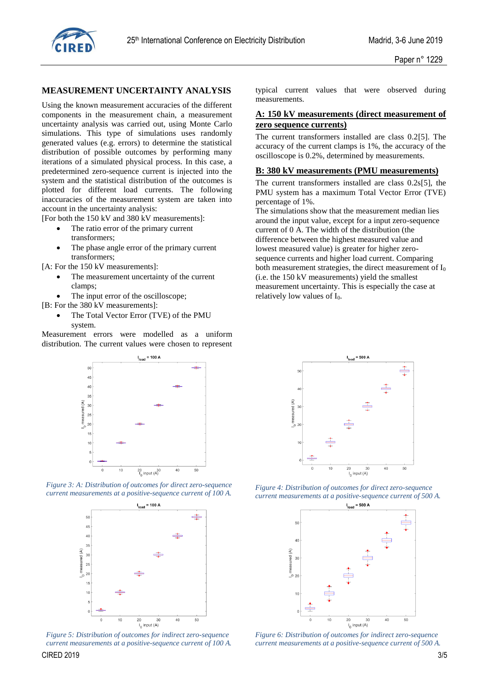

## **MEASUREMENT UNCERTAINTY ANALYSIS**

Using the known measurement accuracies of the different components in the measurement chain, a measurement uncertainty analysis was carried out, using Monte Carlo simulations. This type of simulations uses randomly generated values (e.g. errors) to determine the statistical distribution of possible outcomes by performing many iterations of a simulated physical process. In this case, a predetermined zero-sequence current is injected into the system and the statistical distribution of the outcomes is plotted for different load currents. The following inaccuracies of the measurement system are taken into account in the uncertainty analysis:

[For both the 150 kV and 380 kV measurements]:

- The ratio error of the primary current transformers;
- The phase angle error of the primary current transformers;

[A: For the 150 kV measurements]:

- The measurement uncertainty of the current clamps;
- The input error of the oscilloscope;

[B: For the 380 kV measurements]:

 The Total Vector Error (TVE) of the PMU system.

Measurement errors were modelled as a uniform distribution. The current values were chosen to represent



*Figure 3: A: Distribution of outcomes for direct zero-sequence current measurements at a positive-sequence current of 100 A.*



 $C$ IRED 2019  $3/5$ *Figure 5: Distribution of outcomes for indirect zero-sequence current measurements at a positive-sequence current of 100 A.*

typical current values that were observed during measurements.

## **A: 150 kV measurements (direct measurement of zero sequence currents)**

The current transformers installed are class 0.2[5]. The accuracy of the current clamps is 1%, the accuracy of the oscilloscope is 0.2%, determined by measurements.

#### **B: 380 kV measurements (PMU measurements)**

The current transformers installed are class 0.2s[5], the PMU system has a maximum Total Vector Error (TVE) percentage of 1%.

The simulations show that the measurement median lies around the input value, except for a input zero-sequence current of 0 A. The width of the distribution (the difference between the highest measured value and lowest measured value) is greater for higher zerosequence currents and higher load current. Comparing both measurement strategies, the direct measurement of  $I_0$ (i.e. the 150 kV measurements) yield the smallest measurement uncertainty. This is especially the case at relatively low values of  $I_0$ .



*Figure 4: Distribution of outcomes for direct zero-sequence current measurements at a positive-sequence current of 500 A.*



*Figure 6: Distribution of outcomes for indirect zero-sequence current measurements at a positive-sequence current of 500 A.*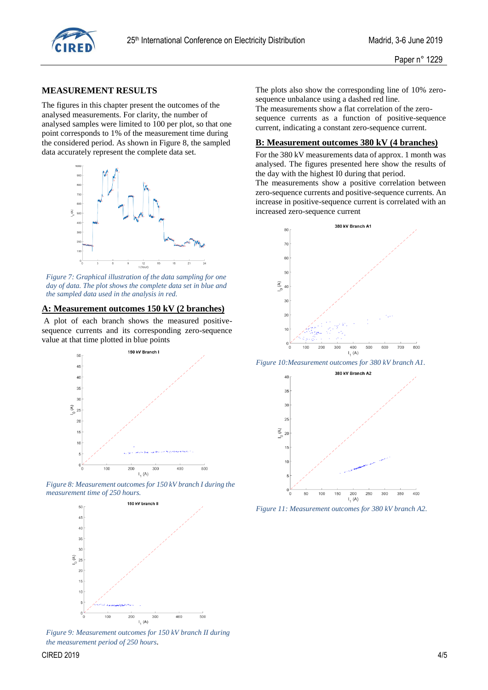

#### **MEASUREMENT RESULTS**

The figures in this chapter present the outcomes of the analysed measurements. For clarity, the number of analysed samples were limited to 100 per plot, so that one point corresponds to 1% of the measurement time during the considered period. As shown in Figure 8, the sampled data accurately represent the complete data set.



*Figure 7: Graphical illustration of the data sampling for one day of data. The plot shows the complete data set in blue and the sampled data used in the analysis in red.* 

## **A: Measurement outcomes 150 kV (2 branches)**

A plot of each branch shows the measured positivesequence currents and its corresponding zero-sequence value at that time plotted in blue points



*Figure 8: Measurement outcomes for 150 kV branch I during the measurement time of 250 hours.*



*Figure 9: Measurement outcomes for 150 kV branch II during the measurement period of 250 hours.*

The plots also show the corresponding line of 10% zerosequence unbalance using a dashed red line.

The measurements show a flat correlation of the zerosequence currents as a function of positive-sequence current, indicating a constant zero-sequence current.

#### **B: Measurement outcomes 380 kV (4 branches)**

For the 380 kV measurements data of approx. 1 month was analysed. The figures presented here show the results of the day with the highest I0 during that period.

The measurements show a positive correlation between zero-sequence currents and positive-sequence currents. An increase in positive-sequence current is correlated with an increased zero-sequence current



*Figure 10:Measurement outcomes for 380 kV branch A1.*



*Figure 11: Measurement outcomes for 380 kV branch A2.*